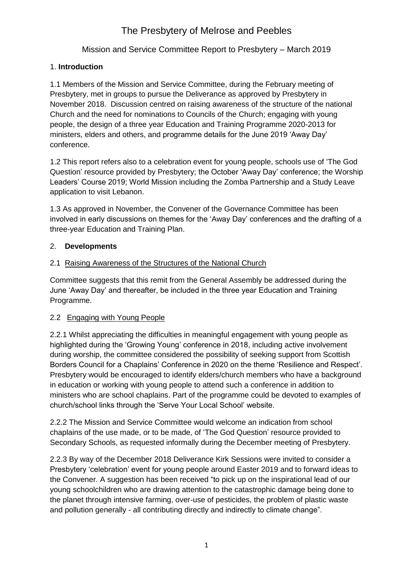## Mission and Service Committee Report to Presbytery – March 2019

## 1. **Introduction**

1.1 Members of the Mission and Service Committee, during the February meeting of Presbytery, met in groups to pursue the Deliverance as approved by Presbytery in November 2018. Discussion centred on raising awareness of the structure of the national Church and the need for nominations to Councils of the Church; engaging with young people, the design of a three year Education and Training Programme 2020-2013 for ministers, elders and others, and programme details for the June 2019 'Away Day' conference.

1.2 This report refers also to a celebration event for young people, schools use of 'The God Question' resource provided by Presbytery; the October 'Away Day' conference; the Worship Leaders' Course 2019; World Mission including the Zomba Partnership and a Study Leave application to visit Lebanon.

1.3 As approved in November, the Convener of the Governance Committee has been involved in early discussions on themes for the 'Away Day' conferences and the drafting of a three-year Education and Training Plan.

## 2. **Developments**

#### 2.1 Raising Awareness of the Structures of the National Church

Committee suggests that this remit from the General Assembly be addressed during the June 'Away Day' and thereafter, be included in the three year Education and Training Programme.

#### 2.2 Engaging with Young People

2.2.1 Whilst appreciating the difficulties in meaningful engagement with young people as highlighted during the 'Growing Young' conference in 2018, including active involvement during worship, the committee considered the possibility of seeking support from Scottish Borders Council for a Chaplains' Conference in 2020 on the theme 'Resilience and Respect'. Presbytery would be encouraged to identify elders/church members who have a background in education or working with young people to attend such a conference in addition to ministers who are school chaplains. Part of the programme could be devoted to examples of church/school links through the 'Serve Your Local School' website.

2.2.2 The Mission and Service Committee would welcome an indication from school chaplains of the use made, or to be made, of 'The God Question' resource provided to Secondary Schools, as requested informally during the December meeting of Presbytery.

2.2.3 By way of the December 2018 Deliverance Kirk Sessions were invited to consider a Presbytery 'celebration' event for young people around Easter 2019 and to forward ideas to the Convener. A suggestion has been received "to pick up on the inspirational lead of our young schoolchildren who are drawing attention to the catastrophic damage being done to the planet through intensive farming, over-use of pesticides, the problem of plastic waste and pollution generally - all contributing directly and indirectly to climate change".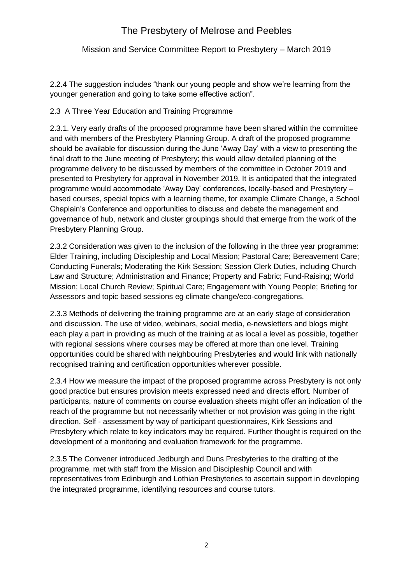## Mission and Service Committee Report to Presbytery – March 2019

2.2.4 The suggestion includes "thank our young people and show we're learning from the younger generation and going to take some effective action".

#### 2.3 A Three Year Education and Training Programme

2.3.1. Very early drafts of the proposed programme have been shared within the committee and with members of the Presbytery Planning Group. A draft of the proposed programme should be available for discussion during the June 'Away Day' with a view to presenting the final draft to the June meeting of Presbytery; this would allow detailed planning of the programme delivery to be discussed by members of the committee in October 2019 and presented to Presbytery for approval in November 2019. It is anticipated that the integrated programme would accommodate 'Away Day' conferences, locally-based and Presbytery – based courses, special topics with a learning theme, for example Climate Change, a School Chaplain's Conference and opportunities to discuss and debate the management and governance of hub, network and cluster groupings should that emerge from the work of the Presbytery Planning Group.

2.3.2 Consideration was given to the inclusion of the following in the three year programme: Elder Training, including Discipleship and Local Mission; Pastoral Care; Bereavement Care; Conducting Funerals; Moderating the Kirk Session; Session Clerk Duties, including Church Law and Structure; Administration and Finance; Property and Fabric; Fund-Raising; World Mission; Local Church Review; Spiritual Care; Engagement with Young People; Briefing for Assessors and topic based sessions eg climate change/eco-congregations.

2.3.3 Methods of delivering the training programme are at an early stage of consideration and discussion. The use of video, webinars, social media, e-newsletters and blogs might each play a part in providing as much of the training at as local a level as possible, together with regional sessions where courses may be offered at more than one level. Training opportunities could be shared with neighbouring Presbyteries and would link with nationally recognised training and certification opportunities wherever possible.

2.3.4 How we measure the impact of the proposed programme across Presbytery is not only good practice but ensures provision meets expressed need and directs effort. Number of participants, nature of comments on course evaluation sheets might offer an indication of the reach of the programme but not necessarily whether or not provision was going in the right direction. Self - assessment by way of participant questionnaires, Kirk Sessions and Presbytery which relate to key indicators may be required. Further thought is required on the development of a monitoring and evaluation framework for the programme.

2.3.5 The Convener introduced Jedburgh and Duns Presbyteries to the drafting of the programme, met with staff from the Mission and Discipleship Council and with representatives from Edinburgh and Lothian Presbyteries to ascertain support in developing the integrated programme, identifying resources and course tutors.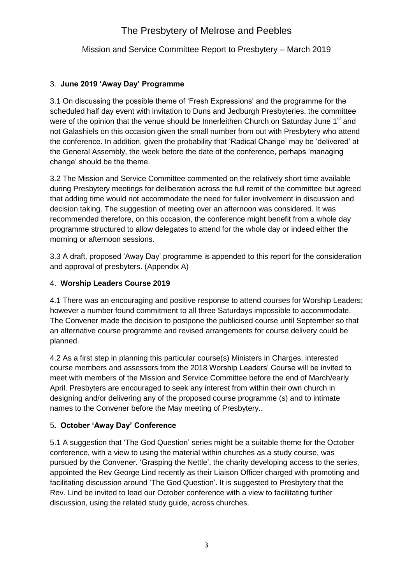Mission and Service Committee Report to Presbytery – March 2019

## 3. **June 2019 'Away Day' Programme**

3.1 On discussing the possible theme of 'Fresh Expressions' and the programme for the scheduled half day event with invitation to Duns and Jedburgh Presbyteries, the committee were of the opinion that the venue should be Innerleithen Church on Saturday June 1<sup>st</sup> and not Galashiels on this occasion given the small number from out with Presbytery who attend the conference. In addition, given the probability that 'Radical Change' may be 'delivered' at the General Assembly, the week before the date of the conference, perhaps 'managing change' should be the theme.

3.2 The Mission and Service Committee commented on the relatively short time available during Presbytery meetings for deliberation across the full remit of the committee but agreed that adding time would not accommodate the need for fuller involvement in discussion and decision taking. The suggestion of meeting over an afternoon was considered. It was recommended therefore, on this occasion, the conference might benefit from a whole day programme structured to allow delegates to attend for the whole day or indeed either the morning or afternoon sessions.

3.3 A draft, proposed 'Away Day' programme is appended to this report for the consideration and approval of presbyters. (Appendix A)

## 4. **Worship Leaders Course 2019**

4.1 There was an encouraging and positive response to attend courses for Worship Leaders; however a number found commitment to all three Saturdays impossible to accommodate. The Convener made the decision to postpone the publicised course until September so that an alternative course programme and revised arrangements for course delivery could be planned.

4.2 As a first step in planning this particular course(s) Ministers in Charges, interested course members and assessors from the 2018 Worship Leaders' Course will be invited to meet with members of the Mission and Service Committee before the end of March/early April. Presbyters are encouraged to seek any interest from within their own church in designing and/or delivering any of the proposed course programme (s) and to intimate names to the Convener before the May meeting of Presbytery..

# 5**. October 'Away Day' Conference**

5.1 A suggestion that 'The God Question' series might be a suitable theme for the October conference, with a view to using the material within churches as a study course, was pursued by the Convener. 'Grasping the Nettle', the charity developing access to the series, appointed the Rev George Lind recently as their Liaison Officer charged with promoting and facilitating discussion around 'The God Question'. It is suggested to Presbytery that the Rev. Lind be invited to lead our October conference with a view to facilitating further discussion, using the related study guide, across churches.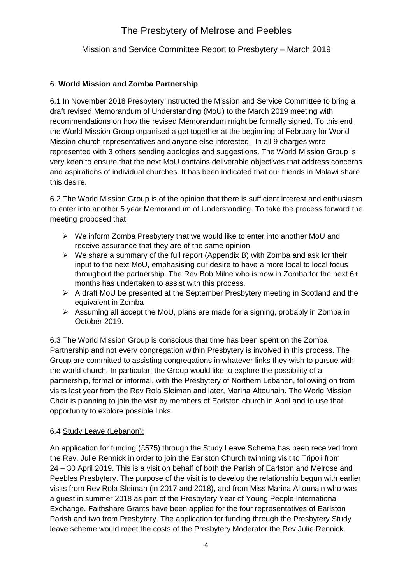## Mission and Service Committee Report to Presbytery – March 2019

### 6. **World Mission and Zomba Partnership**

6.1 In November 2018 Presbytery instructed the Mission and Service Committee to bring a draft revised Memorandum of Understanding (MoU) to the March 2019 meeting with recommendations on how the revised Memorandum might be formally signed. To this end the World Mission Group organised a get together at the beginning of February for World Mission church representatives and anyone else interested. In all 9 charges were represented with 3 others sending apologies and suggestions. The World Mission Group is very keen to ensure that the next MoU contains deliverable objectives that address concerns and aspirations of individual churches. It has been indicated that our friends in Malawi share this desire.

6.2 The World Mission Group is of the opinion that there is sufficient interest and enthusiasm to enter into another 5 year Memorandum of Understanding. To take the process forward the meeting proposed that:

- $\triangleright$  We inform Zomba Presbytery that we would like to enter into another MoU and receive assurance that they are of the same opinion
- $\triangleright$  We share a summary of the full report (Appendix B) with Zomba and ask for their input to the next MoU, emphasising our desire to have a more local to local focus throughout the partnership. The Rev Bob Milne who is now in Zomba for the next 6+ months has undertaken to assist with this process.
- $\triangleright$  A draft MoU be presented at the September Presbytery meeting in Scotland and the equivalent in Zomba
- $\triangleright$  Assuming all accept the MoU, plans are made for a signing, probably in Zomba in October 2019.

6.3 The World Mission Group is conscious that time has been spent on the Zomba Partnership and not every congregation within Presbytery is involved in this process. The Group are committed to assisting congregations in whatever links they wish to pursue with the world church. In particular, the Group would like to explore the possibility of a partnership, formal or informal, with the Presbytery of Northern Lebanon, following on from visits last year from the Rev Rola Sleiman and later, Marina Altounain. The World Mission Chair is planning to join the visit by members of Earlston church in April and to use that opportunity to explore possible links.

#### 6.4 Study Leave (Lebanon):

An application for funding (£575) through the Study Leave Scheme has been received from the Rev. Julie Rennick in order to join the Earlston Church twinning visit to Tripoli from 24 – 30 April 2019. This is a visit on behalf of both the Parish of Earlston and Melrose and Peebles Presbytery. The purpose of the visit is to develop the relationship begun with earlier visits from Rev Rola Sleiman (in 2017 and 2018), and from Miss Marina Altounain who was a guest in summer 2018 as part of the Presbytery Year of Young People International Exchange. Faithshare Grants have been applied for the four representatives of Earlston Parish and two from Presbytery. The application for funding through the Presbytery Study leave scheme would meet the costs of the Presbytery Moderator the Rev Julie Rennick.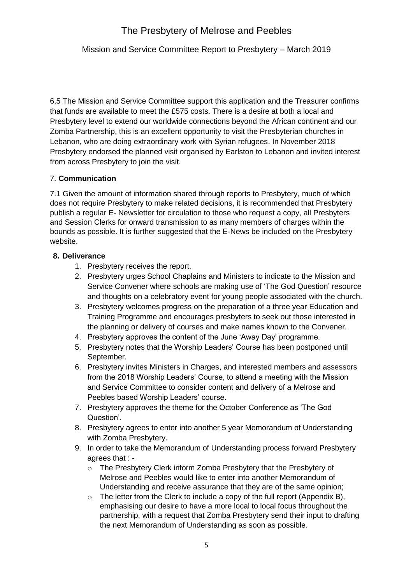Mission and Service Committee Report to Presbytery – March 2019

6.5 The Mission and Service Committee support this application and the Treasurer confirms that funds are available to meet the £575 costs. There is a desire at both a local and Presbytery level to extend our worldwide connections beyond the African continent and our Zomba Partnership, this is an excellent opportunity to visit the Presbyterian churches in Lebanon, who are doing extraordinary work with Syrian refugees. In November 2018 Presbytery endorsed the planned visit organised by Earlston to Lebanon and invited interest from across Presbytery to join the visit.

#### 7. **Communication**

7.1 Given the amount of information shared through reports to Presbytery, much of which does not require Presbytery to make related decisions, it is recommended that Presbytery publish a regular E- Newsletter for circulation to those who request a copy, all Presbyters and Session Clerks for onward transmission to as many members of charges within the bounds as possible. It is further suggested that the E-News be included on the Presbytery website.

#### **8. Deliverance**

- 1. Presbytery receives the report.
- 2. Presbytery urges School Chaplains and Ministers to indicate to the Mission and Service Convener where schools are making use of 'The God Question' resource and thoughts on a celebratory event for young people associated with the church.
- 3. Presbytery welcomes progress on the preparation of a three year Education and Training Programme and encourages presbyters to seek out those interested in the planning or delivery of courses and make names known to the Convener.
- 4. Presbytery approves the content of the June 'Away Day' programme.
- 5. Presbytery notes that the Worship Leaders' Course has been postponed until September.
- 6. Presbytery invites Ministers in Charges, and interested members and assessors from the 2018 Worship Leaders' Course, to attend a meeting with the Mission and Service Committee to consider content and delivery of a Melrose and Peebles based Worship Leaders' course.
- 7. Presbytery approves the theme for the October Conference as 'The God Question'.
- 8. Presbytery agrees to enter into another 5 year Memorandum of Understanding with Zomba Presbytery.
- 9. In order to take the Memorandum of Understanding process forward Presbytery agrees that :
	- o The Presbytery Clerk inform Zomba Presbytery that the Presbytery of Melrose and Peebles would like to enter into another Memorandum of Understanding and receive assurance that they are of the same opinion;
	- o The letter from the Clerk to include a copy of the full report (Appendix B), emphasising our desire to have a more local to local focus throughout the partnership, with a request that Zomba Presbytery send their input to drafting the next Memorandum of Understanding as soon as possible.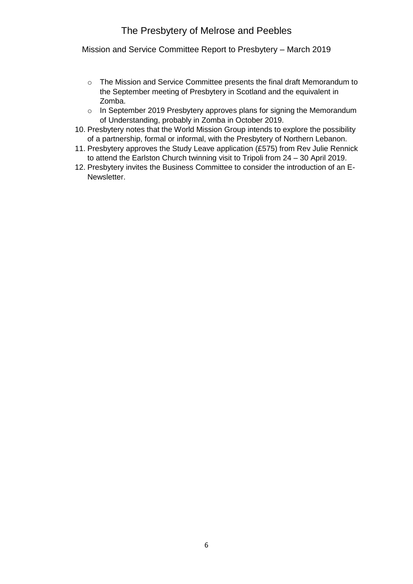Mission and Service Committee Report to Presbytery – March 2019

- o The Mission and Service Committee presents the final draft Memorandum to the September meeting of Presbytery in Scotland and the equivalent in Zomba.
- o In September 2019 Presbytery approves plans for signing the Memorandum of Understanding, probably in Zomba in October 2019.
- 10. Presbytery notes that the World Mission Group intends to explore the possibility of a partnership, formal or informal, with the Presbytery of Northern Lebanon.
- 11. Presbytery approves the Study Leave application (£575) from Rev Julie Rennick to attend the Earlston Church twinning visit to Tripoli from 24 – 30 April 2019.
- 12. Presbytery invites the Business Committee to consider the introduction of an E-Newsletter.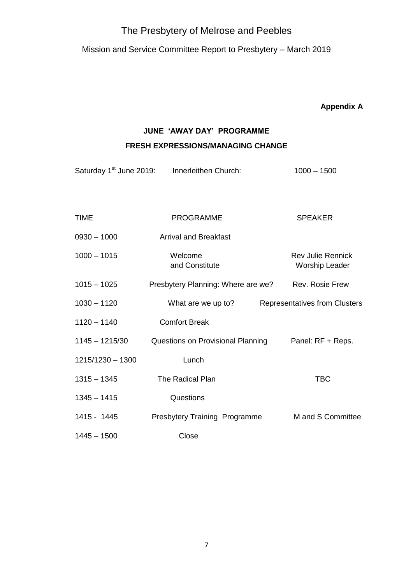Mission and Service Committee Report to Presbytery – March 2019

**Appendix A**

# **JUNE 'AWAY DAY' PROGRAMME**

## **FRESH EXPRESSIONS/MANAGING CHANGE**

Saturday 1<sup>st</sup> June 2019: Innerleithen Church: 1000 – 1500

| <b>TIME</b>      | <b>PROGRAMME</b>                     | <b>SPEAKER</b>                                    |
|------------------|--------------------------------------|---------------------------------------------------|
| $0930 - 1000$    | <b>Arrival and Breakfast</b>         |                                                   |
| $1000 - 1015$    | Welcome<br>and Constitute            | <b>Rev Julie Rennick</b><br><b>Worship Leader</b> |
| $1015 - 1025$    | Presbytery Planning: Where are we?   | <b>Rev. Rosie Frew</b>                            |
| $1030 - 1120$    | What are we up to?                   | Representatives from Clusters                     |
| $1120 - 1140$    | <b>Comfort Break</b>                 |                                                   |
| $1145 - 1215/30$ | Questions on Provisional Planning    | Panel: RF + Reps.                                 |
| 1215/1230 - 1300 | Lunch                                |                                                   |
| $1315 - 1345$    | The Radical Plan                     | <b>TBC</b>                                        |
| $1345 - 1415$    | Questions                            |                                                   |
| 1415 - 1445      | <b>Presbytery Training Programme</b> | M and S Committee                                 |
| $1445 - 1500$    | Close                                |                                                   |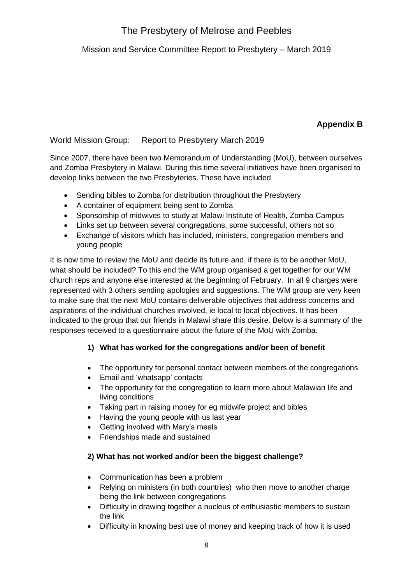# Mission and Service Committee Report to Presbytery – March 2019

# **Appendix B**

## World Mission Group: Report to Presbytery March 2019

Since 2007, there have been two Memorandum of Understanding (MoU), between ourselves and Zomba Presbytery in Malawi. During this time several initiatives have been organised to develop links between the two Presbyteries. These have included

- Sending bibles to Zomba for distribution throughout the Presbytery
- A container of equipment being sent to Zomba
- Sponsorship of midwives to study at Malawi Institute of Health, Zomba Campus
- Links set up between several congregations, some successful, others not so
- Exchange of visitors which has included, ministers, congregation members and young people

It is now time to review the MoU and decide its future and, if there is to be another MoU, what should be included? To this end the WM group organised a get together for our WM church reps and anyone else interested at the beginning of February. In all 9 charges were represented with 3 others sending apologies and suggestions. The WM group are very keen to make sure that the next MoU contains deliverable objectives that address concerns and aspirations of the individual churches involved, ie local to local objectives. It has been indicated to the group that our friends in Malawi share this desire. Below is a summary of the responses received to a questionnaire about the future of the MoU with Zomba.

# **1) What has worked for the congregations and/or been of benefit**

- The opportunity for personal contact between members of the congregations
- Email and 'whatsapp' contacts
- The opportunity for the congregation to learn more about Malawian life and living conditions
- Taking part in raising money for eg midwife project and bibles
- Having the young people with us last year
- Getting involved with Mary's meals
- Friendships made and sustained

## **2) What has not worked and/or been the biggest challenge?**

- Communication has been a problem
- Relying on ministers (in both countries) who then move to another charge being the link between congregations
- Difficulty in drawing together a nucleus of enthusiastic members to sustain the link
- Difficulty in knowing best use of money and keeping track of how it is used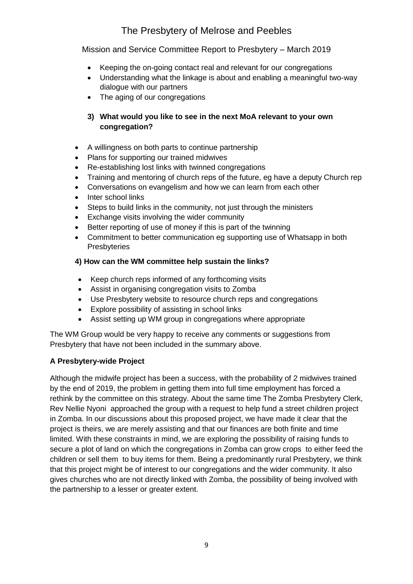Mission and Service Committee Report to Presbytery – March 2019

- Keeping the on-going contact real and relevant for our congregations
- Understanding what the linkage is about and enabling a meaningful two-way dialogue with our partners
- The aging of our congregations

## **3) What would you like to see in the next MoA relevant to your own congregation?**

- A willingness on both parts to continue partnership
- Plans for supporting our trained midwives
- Re-establishing lost links with twinned congregations
- Training and mentoring of church reps of the future, eg have a deputy Church rep
- Conversations on evangelism and how we can learn from each other
- Inter school links
- Steps to build links in the community, not just through the ministers
- Exchange visits involving the wider community
- Better reporting of use of money if this is part of the twinning
- Commitment to better communication eg supporting use of Whatsapp in both Presbyteries

#### **4) How can the WM committee help sustain the links?**

- Keep church reps informed of any forthcoming visits
- Assist in organising congregation visits to Zomba
- Use Presbytery website to resource church reps and congregations
- Explore possibility of assisting in school links
- Assist setting up WM group in congregations where appropriate

The WM Group would be very happy to receive any comments or suggestions from Presbytery that have not been included in the summary above.

## **A Presbytery-wide Project**

Although the midwife project has been a success, with the probability of 2 midwives trained by the end of 2019, the problem in getting them into full time employment has forced a rethink by the committee on this strategy. About the same time The Zomba Presbytery Clerk, Rev Nellie Nyoni approached the group with a request to help fund a street children project in Zomba. In our discussions about this proposed project, we have made it clear that the project is theirs, we are merely assisting and that our finances are both finite and time limited. With these constraints in mind, we are exploring the possibility of raising funds to secure a plot of land on which the congregations in Zomba can grow crops to either feed the children or sell them to buy items for them. Being a predominantly rural Presbytery, we think that this project might be of interest to our congregations and the wider community. It also gives churches who are not directly linked with Zomba, the possibility of being involved with the partnership to a lesser or greater extent.